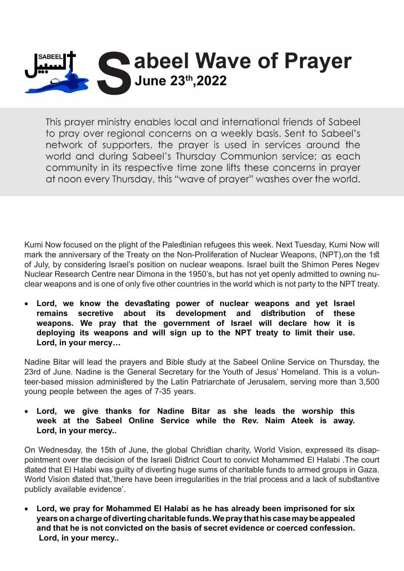

This prayer ministry enables local and international friends of Sabeel to pray over regional concerns on a weekly basis. Sent to Sabeel's network of supporters, the prayer is used in services around the world and during Sabeel's Thursday Communion service; as each community in its respective time zone lifts these concerns in prayer at noon every Thursday, this "wave of prayer" washes over the world.

Kumi Now focused on the plight of the Palestinian refugees this week. Next Tuesday, Kumi Now will mark the anniversary of the Treaty on the Non-Proliferation of Nuclear Weapons, (NPT), on the 1st of July, by considering Israel's position on nuclear weapons. Israel built the Shimon Peres Negev clear weapons and is one of only five other countries in the world which is not party to the NPT treaty. Nuclear Research Centre near Dimona in the 1950's, but has not yet openly admitted to owning nu-

Lord, we know the devastating power of nuclear weapons and yet Israel remains secretive about its development and distribution of these weapons. We pray that the government of Israel will declare how it is deploying its weapons and will sign up to the NPT treaty to limit their use. Lord, in your mercy...

Nadine Bitar will lead the prayers and Bible study at the Sabeel Online Service on Thursday, the teer-based mission administered by the Latin Patriarchate of Jerusalem, serving more than 3,500 23rd of June. Nadine is the General Secretary for the Youth of Jesus' Homeland. This is a volunyoung people between the ages of 7-35 years.

Lord, we give thanks for Nadine Bitar as she leads the worship this week at the Sabeel Online Service while the Rev. Naim Ateek is away. Lord, in your mercy..

pointment over the decision of the Israeli District Court to convict Mohammed El Halabi The court On Wednesday, the 15th of June, the global Christian charity, World Vision, expressed its disapstated that El Halabi was guilty of diverting huge sums of charitable funds to armed groups in Gaza. World Vision stated that 'there have been irregularities in the trial process and a lack of substantive publicly available evidence'.

Lord, we pray for Mohammed El Halabi as he has already been imprisoned for six  **years on a charge of diverting charitable funds. We pray that his case may be appealed** and that he is not convicted on the basis of secret evidence or coerced confession. Lord, in your mercy..